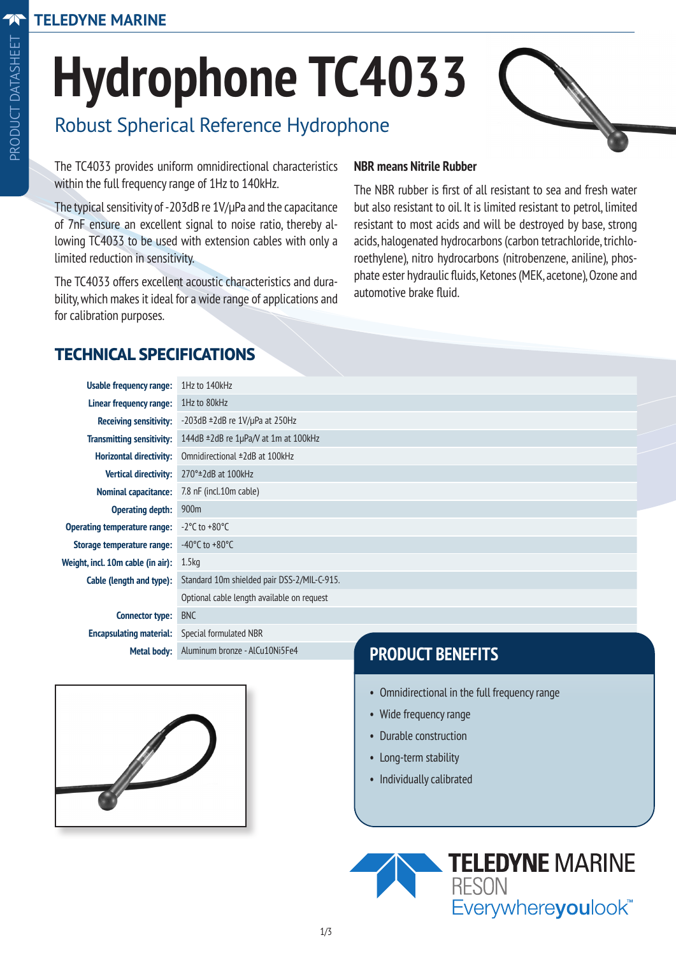# **Hydrophone TC4033**

# Robust Spherical Reference Hydrophone

The TC4033 provides uniform omnidirectional characteristics within the full frequency range of 1Hz to 140kHz.

The typical sensitivity of -203dB re 1V/µPa and the capacitance of 7nF ensure an excellent signal to noise ratio, thereby allowing TC4033 to be used with extension cables with only a limited reduction in sensitivity.

The TC4033 offers excellent acoustic characteristics and durability, which makes it ideal for a wide range of applications and for calibration purposes.

#### **NBR means Nitrile Rubber**

The NBR rubber is first of all resistant to sea and fresh water but also resistant to oil. It is limited resistant to petrol, limited resistant to most acids and will be destroyed by base, strong acids, halogenated hydrocarbons (carbon tetrachloride, trichloroethylene), nitro hydrocarbons (nitrobenzene, aniline), phosphate ester hydraulic fluids, Ketones (MEK, acetone), Ozone and automotive brake fluid.

## **TECHNICAL SPECIFICATIONS**

| Usable frequency range:                 | 1Hz to 140kHz                               |
|-----------------------------------------|---------------------------------------------|
| Linear frequency range:                 | 1Hz to 80kHz                                |
| <b>Receiving sensitivity:</b>           | $-203dB \pm 2dB$ re $1V/\mu$ Pa at 250Hz    |
| <b>Transmitting sensitivity:</b>        | 144dB $\pm$ 2dB re 1µPa/V at 1m at 100kHz   |
| <b>Horizontal directivity:</b>          | Omnidirectional ±2dB at 100kHz              |
| <b>Vertical directivity:</b>            | $270^\circ$ ± 2dB at 100 kHz                |
| <b>Nominal capacitance:</b>             | 7.8 nF (incl.10m cable)                     |
| <b>Operating depth:</b>                 | 900 <sub>m</sub>                            |
| <b>Operating temperature range:</b>     | $-2^{\circ}$ C to $+80^{\circ}$ C           |
| Storage temperature range:              | -40 $^{\circ}$ C to +80 $^{\circ}$ C        |
| Weight, incl. 10m cable (in air): 1.5kg |                                             |
| Cable (length and type):                | Standard 10m shielded pair DSS-2/MIL-C-915. |
|                                         | Optional cable length available on request  |
| <b>Connector type:</b>                  | <b>BNC</b>                                  |
| <b>Encapsulating material:</b>          | Special formulated NBR                      |

**PRODUCT BENEFITS**

- Omnidirectional in the full frequency range
- Wide frequency range
- Durable construction
- Long-term stability
- Individually calibrated





**Metal body:** Aluminum bronze - AlCu10Ni5Fe4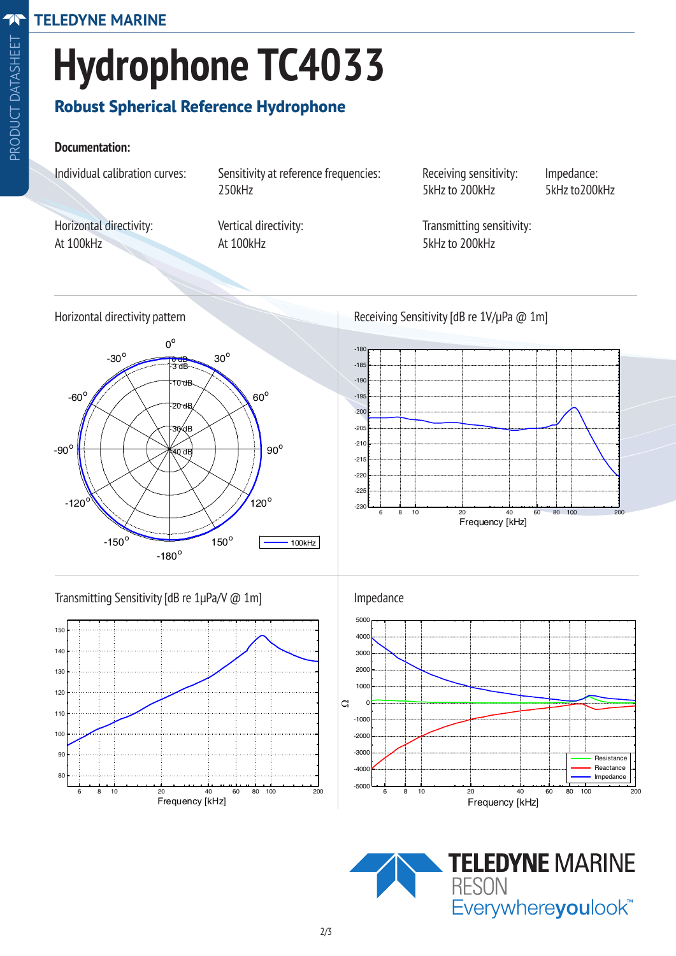# **Hydrophone TC4033**

## **Robust Spherical Reference Hydrophone**

#### **Documentation:**

Individual calibration curves: Sensitivity at reference frequencies: Receiving sensitivity: Impedance: 250kHz 250kHz 5kHz to 200kHz 5kHz to 200kHz

At 100kHz At 100kHz At 100kHz

Horizontal directivity: Vertical directivity: Transmitting sensitivity:





Horizontal directivity pattern Receiving Sensitivity [dB re 1V/µPa @ 1m]